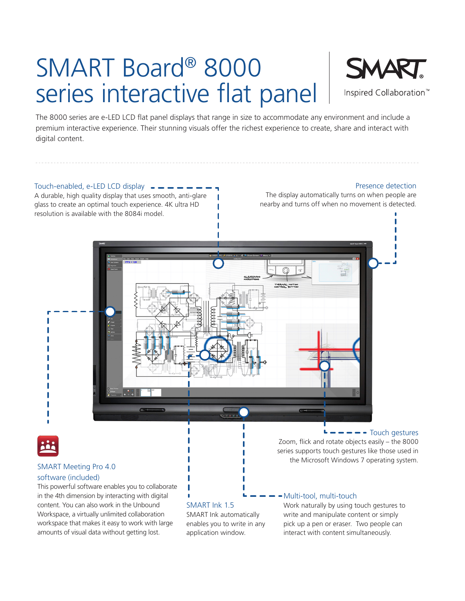# SMART Board® 8000 series interactive flat panel



The 8000 series are e-LED LCD flat panel displays that range in size to accommodate any environment and include a premium interactive experience. Their stunning visuals offer the richest experience to create, share and interact with digital content.



This powerful software enables you to collaborate in the 4th dimension by interacting with digital content. You can also work in the Unbound Workspace, a virtually unlimited collaboration workspace that makes it easy to work with large amounts of visual data without getting lost.

SMART Ink 1.5

SMART Ink automatically enables you to write in any application window.

- Multi-tool, multi-touch

Work naturally by using touch gestures to write and manipulate content or simply pick up a pen or eraser. Two people can interact with content simultaneously.